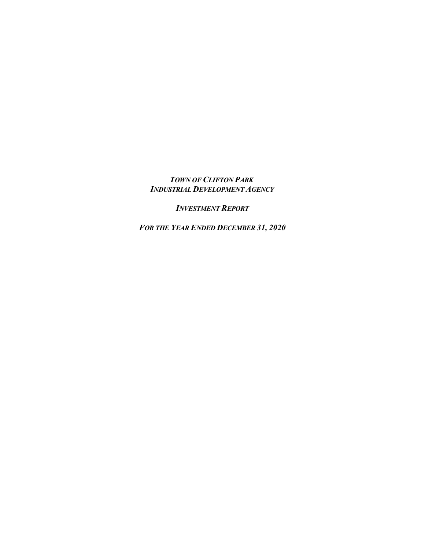## *TOWN OF CLIFTON PARK INDUSTRIAL DEVELOPMENT AGENCY*

*INVESTMENT REPORT*

*FOR THE YEAR ENDED DECEMBER 31, 2020*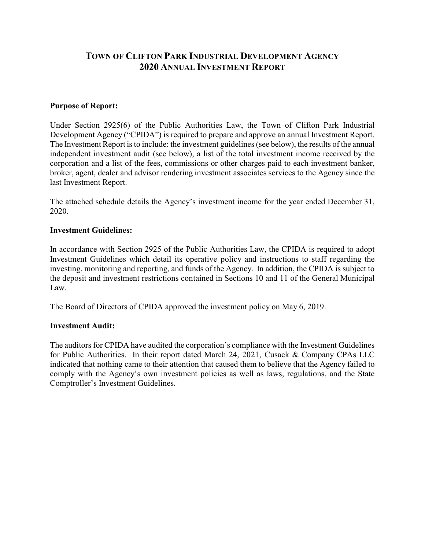# **TOWN OF CLIFTON PARK INDUSTRIAL DEVELOPMENT AGENCY 2020 ANNUAL INVESTMENT REPORT**

#### **Purpose of Report:**

Under Section 2925(6) of the Public Authorities Law, the Town of Clifton Park Industrial Development Agency ("CPIDA") is required to prepare and approve an annual Investment Report. The Investment Report is to include: the investment guidelines (see below), the results of the annual independent investment audit (see below), a list of the total investment income received by the corporation and a list of the fees, commissions or other charges paid to each investment banker, broker, agent, dealer and advisor rendering investment associates services to the Agency since the last Investment Report.

The attached schedule details the Agency's investment income for the year ended December 31, 2020.

#### **Investment Guidelines:**

In accordance with Section 2925 of the Public Authorities Law, the CPIDA is required to adopt Investment Guidelines which detail its operative policy and instructions to staff regarding the investing, monitoring and reporting, and funds of the Agency. In addition, the CPIDA is subject to the deposit and investment restrictions contained in Sections 10 and 11 of the General Municipal Law.

The Board of Directors of CPIDA approved the investment policy on May 6, 2019.

#### **Investment Audit:**

The auditors for CPIDA have audited the corporation's compliance with the Investment Guidelines for Public Authorities. In their report dated March 24, 2021, Cusack & Company CPAs LLC indicated that nothing came to their attention that caused them to believe that the Agency failed to comply with the Agency's own investment policies as well as laws, regulations, and the State Comptroller's Investment Guidelines.